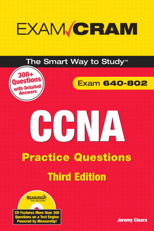## **EXAM/CRAM**

### The Smart Way to Study<sup>™</sup>



### **Exam 640-802**

# CCNA **Practice Questions Third Edition**



**Jeremy Cioara**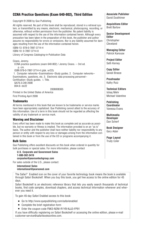#### **CCNA Practice Questions (Exam 640-802), Third Edition**

Copyright ® 2008 by Que Publishing

All rights reserved. No part of this book shall be reproduced, stored in a retrieval system, or transmitted by any means, electronic, mechanical, photocopying, recording, or otherwise, without written permission from the publisher. No patent liability is assumed with respect to the use of the information contained herein. Although every precaution has been taken in the preparation of this book, the publisher and author assume no responsibility for errors or omissions. Nor is any liability assumed for damages resulting from the use of the information contained herein.

ISBN-13: 978-0-7897-3714-4 ISBN-10: 0-7897-3714-0

Library of Congress Cataloging-in-Publication Data

Cioara, Jeremy. CCNA practice questions (exam 640-802) / Jeremy Cioara. -- 3rd ed. p. cm. ISBN 978-0-7897-3714-4 (pbk. w/CD) 1. Computer networks--Examinations--Study guides. 2. Computer networks-- Examinations, questions, etc. 3. Electronic data processing personnel-- Certification--Study guides. I. Title.

QA76.3.C48 2008 004.6--dc22

2008008365

Printed in the United States of America First Printing April 2008

#### **Trademarks**

All terms mentioned in this book that are known to be trademarks or service marks have been appropriately capitalized. Que Publishing cannot attest to the accuracy of this information. Use of a term in this book should not be regarded as affecting the validity of any trademark or service mark.

#### **Warning and Disclaimer**

Every effort has been made to make this book as complete and as accurate as possible, but no warranty or fitness is implied. The information provided is on an "as is" basis. The author and the publisher shall have neither liability nor responsibility to any person or entity with respect to any loss or damages arising from the information contained in this book or from the use of the CD or programs accompanying it.

#### **Bulk Sales**

Que Publishing offers excellent discounts on this book when ordered in quantity for bulk purchases or special sales. For more information, please contact

**U.S. Corporate and Government Sales 1-800-382-3419 corpsales@pearsontechgroup.com**

For sales outside of the U.S., please contact:

**International Sales international@pearsoned.com**

The Safari® Enabled icon on the cover of your favorite technology book means the book is available through Safari Bookshelf. When you buy this book, you get free access to the online edition for 45 days.

Safari Bookshelf is an electronic reference library that lets you easily search thousands of technical books, find code samples, download chapters, and access technical information whenever and wherever you need it.

To gain 45-day Safari Enabled access to this book:

- Go to<http://www.quepublishing.com/safarienabled>
- Complete the brief registration form
- Enter the coupon code FNK3-N2NI-R1YB-NJJ3-FP91

If you have difficulty registering on Safari Bookshelf or accessing the online edition, please e-mail customer-service@safaribooksonline.com.

**Associate Publisher** David Dusthimer

**Acquisitions Editor** Brett Bartow

**Senior Development Editor** Christopher Cleveland

**Managing Editor** Patrick Kanouse

**Project Editor** Seth Kerney

**Copy Editor** Geneil Breeze

**Proofreader** Kathy Ruiz

**Technical Editors** Ishaq Mehr Michael Valentine

**Publishing Coordinator** Vanessa Evans

**Multimedia Developer** Dan Scherf

**Book Designer** Gary Adair

**Page Layout** Trudy Coler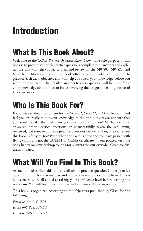## **Introduction**

### **What Is This Book About?**

Welcome to the *CCNA Practice Questions Exam Cram*! The sole purpose of this book is to provide you with practice questions complete with answers and explanations that will help you learn, drill, and review for the 640-802, 640-822, and 640-816 certification exams. The book offers a large number of questions to practice each exam objective and will help you assess your knowledge before you write the real exam. The detailed answers to every question will help reinforce your knowledge about different issues involving the design and configuration of Cisco networks.

### **Who Is This Book For?**

If you have studied the content for the 640-802, 640-822, or 640-816 exams and feel you are ready to put your knowledge to the test, but you are not sure that you want to take the real exam yet, this book is for you! Maybe you have answered other practice questions or unsuccessfully taken the real exam, reviewed, and want to do more practice questions before retaking the real exam; this book is for you, too! Even when the exam is done and you have passed with flying colors and got the CCENT or CCNA certificate in your pocket, keep the book handy on your desktop to look for answers to your everyday Cisco configuration issues.

### **What Will You Find In This Book?**

As mentioned earlier, this book is all about practice questions! The practice questions in the book, some easy and others containing more complicated problem scenarios, are all aimed at raising your confidence level before writing the real exam. You will find questions that, in fact, you will face in real life.

This book is organized according to the objectives published by Cisco for the following exams:

*Exam 640-802: CCNA Exam 640-822: ICND1 Exam 640-816: ICND2*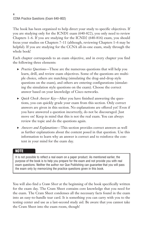#### **x** CCNA Practice Questions (Exam 640–802)

The book has been organized to help direct your study to specific objectives. If you are studying only for the ICND1 exam (640-822), you only need to review Chapters 1–6. If you are studying for the ICND2 (640-816) exam, you should focus your studies on Chapters 7–11 (although, reviewing Chapters 1–6 may be helpful). If you are studying for the CCNA all-in-one exam, study through the whole book!

Each chapter corresponds to an exam objective, and in every chapter you find the following three elements:

- . *Practice Questions*—These are the numerous questions that will help you learn, drill, and review exam objectives. Some of the questions are multiple choice, others are matching (simulating the drag-and-drop style questions on the exam), and others are entering configurations (simulating the simulation style questions on the exam). Choose the correct answer based on your knowledge of Cisco networks.
- . *Quick Check Answer Key*—After you have finished answering the questions, you can quickly grade your exam from this section. Only correct answers are given in this section. No explanations are offered yet! Even if you have answered a question incorrectly, do not be discouraged. Just move on! Keep in mind that this is not the real exam. You can always review the topic and do the questions again.
- . *Answers and Explanations*—This section provides correct answers as well as further explanations about the content posed in that question. Use this information to learn why an answer is correct and to reinforce the content in your mind for the exam day.

### **NOTE**

It is not possible to reflect a real exam on a paper product. As mentioned earlier, the purpose of the book is to help you prepare for the exam and not provide you with real exam questions. Neither the author nor Que Publishing can guarantee that you will pass the exam only by memorizing the practice questions given in this book.

You will also find a *Cram Sheet* at the beginning of the book specifically written for the exam day. The Cram Sheet contains core knowledge that you need for the exam. The Cram Sheet condenses all the necessary facts found in the exam into an easy-to-handle tear card. It is something you can carry with you to the testing center and use as a last-second study aid. Be aware that you cannot take the Cram Sheet into the exam room, though!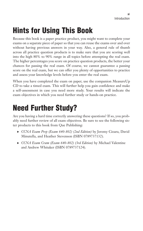### **Hints for Using This Book**

Because this book is a paper practice product, you might want to complete your exams on a separate piece of paper so that you can reuse the exams over and over without having previous answers in your way. Also, a general rule of thumb across all practice question products is to make sure that you are scoring well into the high 80% to 90% range in all topics before attempting the real exam. The higher percentages you score on practice question products, the better your chances for passing the real exam. Of course, we cannot guarantee a passing score on the real exam, but we can offer you plenty of opportunities to practice and assess your knowledge levels before you enter the real exam.

When you have completed the exam on paper, use the companion MeasureUp CD to take a timed exam. This will further help you gain confidence and make a self-assessment in case you need more study. Your results will indicate the exam objectives in which you need further study or hands-on practice.

### **Need Further Study?**

Are you having a hard time correctly answering these questions? If so, you probably need further review of all exam objectives. Be sure to see the following sister products to this book from Que Publishing:

- . *CCNA Exam Prep (Exam 640-802) (2nd Edition)* by Jeremy Cioara, David Minutella, and Heather Stevenson (ISBN 0789737132).
- . *CCNA Exam Cram (Exam 640-802) (3rd Edition)* by Michael Valentine and Andrew Whitaker (ISBN 0789737124).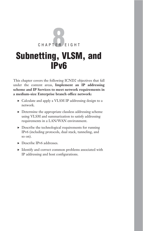### CHAPTER EIGHT **8**

### **Subnetting, VLSM, and IPv6**

This chapter covers the following ICND2 objectives that fall under the content areas, **Implement an IP addressing scheme and IP Services to meet network requirements in a medium-size Enterprise branch office network:**

- . Calculate and apply a VLSM IP addressing design to a network.
- . Determine the appropriate classless addressing scheme using VLSM and summarization to satisfy addressing requirements in a LAN/WAN environment.
- $\triangleright$  Describe the technological requirements for running IPv6 (including protocols, dual stack, tunneling, and so on).
- ▶ Describe IPv6 addresses.
- . Identify and correct common problems associated with IP addressing and host configurations.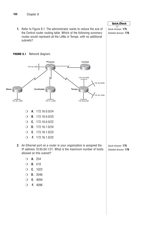**1.** Refer to Figure 8.1. The administrator wants to reduce the size of the Central router routing table. Which of the following summary routes would represent all the LANs in Tempe, with no additional subnets?

Quick Answer: **175** Detailed Answer: **176**

**Quick Check** ✓



- **2.** An Ethernet port on a router in your organization is assigned the IP address 10.65.64.1/21. What is the maximum number of hosts allowed on this subnet?
- Quick Answer: **175** Detailed Answer: **176**

- ❍ **A.** 254
- ❍ **B.** 510
- ❍ **C.** 1022
- ❍ **D.** 2046
- ❍ **E.** 4094
- ❍ **F.** 4096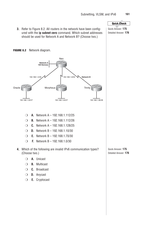

**3.** Refer to Figure 8.2. All routers in the network have been config-



❍ **E.** Cryptocast

Detailed Answer: **176**

Quick Answer: 175 **Quick Check**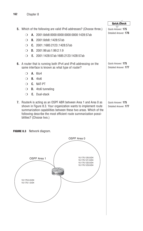



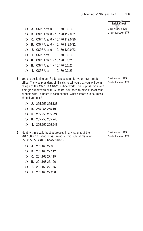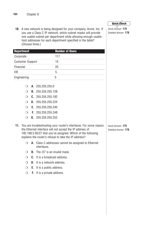**10.** A new network is being designed for your company, Acme, Inc. If you use a Class C IP network, which subnet masks will provide one usable subnet per department while allowing enough usable host addresses for each department specified in the table? (Choose three.)

| <b>Department</b>       | <b>Number of Users</b> |
|-------------------------|------------------------|
| Corporate               | 117                    |
| <b>Customer Support</b> | 15                     |
| Financial               | 25                     |
| ΗR                      | 5                      |
| Engineering             | 5                      |

- ❍ **A.** 255.255.255.0
- ❍ **B.** 255.255.255.128
- ❍ **C.** 255.255.255.192
- ❍ **D.** 255.255.255.224
- ❍ **E.** 255.255.255.240
- ❍ **F.** 255.255.255.248
- ❍ **G.** 255.255.255.252
- **11.** You are troubleshooting your router's interfaces. For some reason, the Ethernet interface will not accept the IP address of 192.168.5.95/27 that you've assigned. Which of the following explains the router's refusal to take the IP address?
	- ❍ **A.** Class C addresses cannot be assigned to Ethernet interfaces.
	- $\bigcirc$  **B**. The /27 is an invalid mask.
	- ❍ **C.** It is a broadcast address.
	- ❍ **D.** It is a network address.
	- ❍ **E.** It is a public address.
	- ❍ **F.** It is a private address.

**Quick Check** ✓ Quick Answer: **175** Detailed Answer: **178**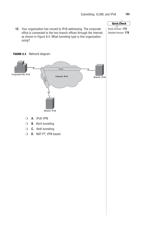

### **Quick Check** ✓**<sup>175</sup>**

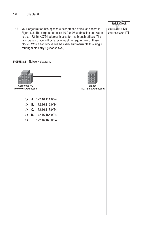**13.** Your organization has opened a new branch office, as shown in Figure 8.5. The corporation uses 10.0.0.0/8 addressing and wants to use 172.16.X.X/24 address blocks for the branch offices. The new branch office will be large enough to require two of these blocks. Which two blocks will be easily summarizable to a single routing table entry? (Choose two.)





#### **Quick Check** ✓**<sup>175</sup>**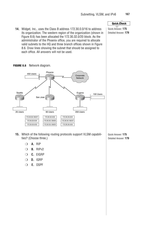**14.** Widget, Inc., uses the Class B address 172.30.0.0/16 to address its organization. The western region of the organization (shown in Figure 8.6) has been allocated the 172.30.32.0/20 block. As the administrator of the Phoenix office, you are required to allocate valid subnets to the HQ and three branch offices shown in Figure 8.6. Draw lines showing the subnet that should be assigned to each office. All answers will not be used.





- **15.** Which of the following routing protocols support VLSM capabilities? (Choose three.)
	- ❍ **A.** RIP
	- ❍ **B.** RIPv2
	- ❍ **C.** EIGRP
	- ❍ **D.** IGRP
	- ❍ **E.** OSPF

Quick Answer: **175** Detailed Answer: **179**

### **Quick Check**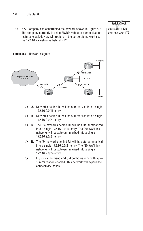**16.** XYZ Company has constructed the network shown in Figure 8.7. The company currently is using EIGRP with auto-summarization features enabled. How will routers in the corporate network see the 172.16.x.x networks behind R1?







- ❍ **A.** Networks behind R1 will be summarized into a single 172.16.0.0/16 entry.
- ❍ **B.** Networks behind R1 will be summarized into a single 172.16.0.0/21 entry.
- ❍ **C.** The /24 networks behind R1 will be auto-summarized into a single 172.16.0.0/16 entry. The /30 WAN link networks will be auto-summarized into a single 172.16.2.0/24 entry.
- ❍ **D.** The /24 networks behind R1 will be auto-summarized into a single 172.16.0.0/21 entry. The /30 WAN link networks will be auto-summarized into a single 172.16.2.0/24 entry.
- ❍ **E.** EIGRP cannot handle VLSM configurations with autosummarization enabled. This network will experience connectivity issues.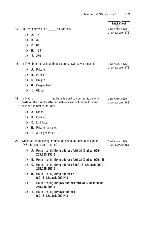|     |                                                                                                                                                                        |                  |                                                                         | <b>Quick Check</b>   |
|-----|------------------------------------------------------------------------------------------------------------------------------------------------------------------------|------------------|-------------------------------------------------------------------------|----------------------|
|     |                                                                                                                                                                        |                  | 17. An IPv6 address is a _____-bit address.                             | Quick Answer: 175    |
|     | $\bigcirc$                                                                                                                                                             |                  | A. 16                                                                   | Detailed Answer: 179 |
|     |                                                                                                                                                                        | $\bigcirc$ B. 32 |                                                                         |                      |
|     |                                                                                                                                                                        | $\bigcirc$ C. 64 |                                                                         |                      |
|     |                                                                                                                                                                        |                  | $\bigcirc$ D. 128                                                       |                      |
|     | $\bigcirc$                                                                                                                                                             |                  | E. 256                                                                  |                      |
|     |                                                                                                                                                                        |                  | 18. In IPv6, Internet-valid addresses are known by what name?           | Quick Answer: 175    |
|     | $\Omega$                                                                                                                                                               |                  | A. Private                                                              | Detailed Answer: 179 |
|     | $\Omega$                                                                                                                                                               |                  | <b>B.</b> Public                                                        |                      |
|     |                                                                                                                                                                        |                  | $\bigcirc$ C. Unique                                                    |                      |
|     | $\Omega$                                                                                                                                                               |                  | <b>D.</b> Unspecified                                                   |                      |
|     |                                                                                                                                                                        |                  | $\bigcirc$ <b>E.</b> Global                                             |                      |
| 19. | In IPv6, a ______________________ address is used to communicate with<br>hosts on the directly attached network and will never forward<br>beyond the first router hop. |                  | Quick Answer: 175<br>Detailed Answer: 180                               |                      |
|     | $\bigcirc$                                                                                                                                                             |                  | A. Global                                                               |                      |
|     |                                                                                                                                                                        |                  | $\bigcirc$ <b>B.</b> Private                                            |                      |
|     |                                                                                                                                                                        |                  | $\bigcirc$ <b>C.</b> Link local                                         |                      |
|     |                                                                                                                                                                        |                  | $\bigcirc$ <b>D.</b> Private restricted                                 |                      |
|     |                                                                                                                                                                        |                  | $\bigcirc$ <b>E.</b> Auto-generated                                     |                      |
|     | 20. Which of the following commands could you use to assign an<br>IPv6 address to your router?                                                                         |                  | Quick Answer: 175<br>Detailed Answer: 180                               |                      |
|     | $\circ$                                                                                                                                                                |                  | A. Router(config-if)#ip address fe01:3112:abcd::0001<br>255.255.255.0   |                      |
|     | $\circ$                                                                                                                                                                |                  | B. Router(config-if)#ip address fe01:3112:abcd::0001/48                 |                      |
|     | $\circ$                                                                                                                                                                |                  | C. Router(config-if)#ip address 6 fe01:3112:abcd::0001<br>255.255.255.0 |                      |
|     |                                                                                                                                                                        |                  | <b>D.</b> Router(config-if)#ip address $6$<br>fe01:3112:abcd::0001/48   |                      |
|     | $\circ$                                                                                                                                                                |                  | E. Router(config-if)#ipv6 address fe01:3112:abcd::0001<br>255.255.255.0 |                      |
|     | $\circ$                                                                                                                                                                |                  | F. Router(config-if)#ipv6 address<br>fe01:3112:abcd::0001/48            |                      |
|     |                                                                                                                                                                        |                  |                                                                         |                      |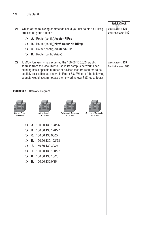- **21.** Which of the following commands could you use to start a RIPng process on your router?
	- ❍ **A.** Router(config)#**router RIPng**
	- ❍ **B.** Router(config)#**ipv6 router rip RIPng**
	- ❍ **C.** Router(config)#**routerv6 RIP**
	- ❍ **D.** Router(config)#**ripv6**
- **22.** TooCow University has acquired the 150.60.130.0/24 public address from the local ISP to use in its campus network. Each building has a specific number of devices that are required to be publicly accessible, as shown in Figure 8.8. Which of the following subnets would accommodate the network shown? (Choose four.)

#### **FIGURE 8.8** Network diagram.





❍ **A.** 150.60.130.128/26 ❍ **B.** 150.60.130.128/27 ❍ **C.** 150.60.130.96/27 ❍ **D.** 150.60.130.192/28 ❍ **E.** 150.60.130.32/27 ❍ **F.** 150.60.130.160/27 ❍ **G.** 150.60.130.16/28 ❍ **H.** 150.60.130.0/25



College of Business 20 Hosts



College of Education 25 Hosts



Quick Answer: 175 Detailed Answer: **180**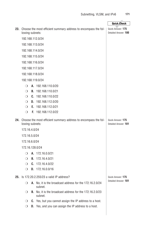|     |                                      |  |                                                                     | <b>Quick Check</b>                        |
|-----|--------------------------------------|--|---------------------------------------------------------------------|-------------------------------------------|
|     | lowing subnets:                      |  | 23. Choose the most efficient summary address to encompass the fol- | Quick Answer: 175<br>Detailed Answer: 180 |
|     |                                      |  | 192.168.112.0/24                                                    |                                           |
|     |                                      |  | 192.168.113.0/24                                                    |                                           |
|     |                                      |  |                                                                     |                                           |
|     | 192.168.114.0/24<br>192.168.115.0/24 |  |                                                                     |                                           |
|     |                                      |  | 192.168.116.0/24                                                    |                                           |
|     |                                      |  | 192.168.117.0/24                                                    |                                           |
|     |                                      |  | 192.168.118.0/24                                                    |                                           |
|     |                                      |  | 192.168.119.0/24                                                    |                                           |
|     |                                      |  |                                                                     |                                           |
|     | ∩<br>$\bigcirc$                      |  | A. 192.168.110.0/20<br><b>B.</b> 192.168.110.0/21                   |                                           |
|     | $\Omega$                             |  | C. 192.168.110.0/22                                                 |                                           |
|     | $\Omega$                             |  | D. 192.168.112.0/20                                                 |                                           |
|     | ∩                                    |  | E. 192.168.112.0/21                                                 |                                           |
|     | $\Omega$                             |  | F. 192.168.112.0/22                                                 |                                           |
| 24. | lowing subnets:                      |  | Choose the most efficient summary address to encompass the fol-     | Quick Answer: 175<br>Detailed Answer: 181 |
|     | 172.16.4.0/24                        |  |                                                                     |                                           |
|     | 172.16.5.0/24                        |  |                                                                     |                                           |
|     | 172.16.6.0/24                        |  |                                                                     |                                           |
|     | 172.16.128.0/24                      |  |                                                                     |                                           |
|     | $\Omega$                             |  | A. 172.16.0.0/21                                                    |                                           |
|     | $\Omega$                             |  | <b>B.</b> 172.16.4.0/21                                             |                                           |
|     | $\Omega$                             |  | C. 172.16.4.0/22                                                    |                                           |
|     | $\Omega$                             |  | D. 172.16.0.0/16                                                    |                                           |
|     |                                      |  | 25. Is 172.20.2.255/23 a valid IP address?                          | Quick Answer: 175                         |
|     | ◯                                    |  | A. No, it is the broadcast address for the 172.16.2.0/24<br>subnet. | Detailed Answer: 181                      |
|     | $\circ$                              |  | B. No, it is the broadcast address for the 172.16.2.0/23<br>subnet. |                                           |
|     | $\Omega$                             |  | C. Yes, but you cannot assign the IP address to a host.             |                                           |
|     | $\circ$                              |  | <b>D.</b> Yes, and you can assign the IP address to a host.         |                                           |
|     |                                      |  |                                                                     |                                           |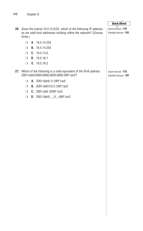| <b>26.</b> Given the subnet 10.5.12.0/22, which of the following IP address- | Quick Answer: 175    |
|------------------------------------------------------------------------------|----------------------|
| es are valid host addresses residing within the network? (Choose             | Detailed Answer: 181 |
| three.)                                                                      |                      |

**Quick Check** ✓**<sup>175</sup>**

- ❍ **A.** 10.5.14.253
- ❍ **B.** 10.5.14.255
- ❍ **C.** 10.5.13.0
- ❍ **D.** 10.5.16.1
- ❍ **E.** 10.5.16.2
- **27.** Which of the following is a valid equivalent of the IPv6 address 2001:0ab9:0000:0000:0003:0000:59ff:1ac5?
	- ❍ **A.** 2001:0ab9::3::59ff:1ac5
	- ❍ **B.** 2001:ab9:0:0:3::59ff:1ac5
	- ❍ **C.** 2001:ab9::359ff:1ac5
	- ❍ **D.** 2001:0ab9:\_\_:3:\_:59ff:1ac5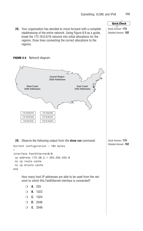**Quick Check** 



```
!
interface FastEthernet0/0
end
```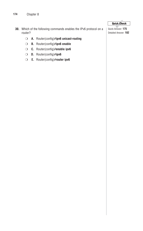- **30.** Which of the following commands enables the IPv6 protocol on a router?
	- ❍ **A.** Router(config)#**ipv6 unicast-routing**
	- ❍ **B.** Router(config)#**ipv6 enable**
	- ❍ **C.** Router(config)#**enable ipv6**
	- ❍ **D.** Router(config)#**ipv6**
	- ❍ **E.** Router(config)#**router ipv6**

**Quick Check** ✓**<sup>175</sup>**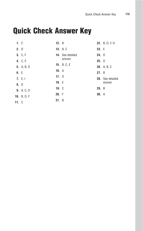### **Quick Check Answer Key**

| 1. C |                   |
|------|-------------------|
| 2. D |                   |
|      | 3. C, F           |
|      | 4. C, E           |
|      | <b>5.</b> A, B, D |
| 6. E |                   |
|      | 7. $E, I$         |
| 8. D |                   |
|      | 9. A, C, D        |

- **10.** B, D, F
- **11.** C

**12.** B **13.** B, C **14.** See detailed answer **15.** B, C, E **16.** A **17.** D **18.** E **19.** C **20.** F

**21.** B

- **22.** B, D, F, H **23.** E **24.** D **25.** D **26.** A, B, C **27.** B **28.** See detailed answer **29.** B
	- **30.** A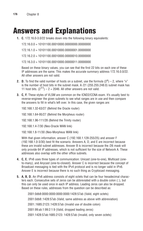### **Answers and Explanations**

**1. C.** 172.16.0-3.0/22 breaks down into the following binary equivalents:

172.16.0.0 = 10101100.00010000.00000000.00000000

172.16.1.0 = 10101100.00010000.00000001.00000000

172.16.2.0 = 10101100.00010000.00000010.00000000

172.16.3.0 = 10101100.00010000.00000011.00000000

Based on these binary values, you can see that the first 22 bits on each one of these IP addresses are the same. This makes the accurate summary address 172.16.0.0/22. All other answers are not valid.

- **2. D.** To find the valid number of hosts on a subnet, use the formula  $(2^X) 2$ , where "x" is the number of host bits in the subnet mask. A /21 (255.255.248.0) subnet mask has 11 host bits.  $(2^{11})$  – 2 = 2046. All other answers are not valid.
- **3. C, F.** These styles of VLSM are common on the ICND2/CCNA exam. It's usually best to reverse-engineer the given subnets to see what ranges are in use and then compare the answers to fill in what's left over. In this case, the given ranges are:

192.168.1.32-63/27 (Behind the Oracle router)

192.168.1.64-95/27 (Behind the Morpheus router)

192.168.1.96-111/28 (Behind the Trinity router)

192.168.1.4-7/30 (Neo-Oracle WAN link)

192.168.1.8-11/30 (Neo-Morpheus WAN link)

With that given information, answer C (192.168.1.128-255/25) and answer F (192.168.1.0-3/30) best fit the scenario. Answers A, D, and E are incorrect because these are invalid subnet addresses. Answer B is incorrect because the /26 mask will only provide 64 IP addresses, which is not sufficient for the size of Network A. These addresses also overlap with the other office subnets.

- **4. C, E.** IPv6 uses three types of communication: Unicast (one-to-one), Multicast (oneto-many), and Anycast (one-to-closest). Answer C is incorrect because the concept of Broadcast messaging is tied with the IPv4 protocol and is no longer valid in IPv6. Answer E is incorrect because there is no such thing as Cryptocast messaging.
- **5. A, B, D.** An IPv6 address consists of eight octets that can be four hexadecimal characters each. Consecutive sets of zeros can be abbreviated with a double colon (::), but this can only be used once in each IP address. Leading zeros can also be dropped. Based on these rules, addresses from the question can be described as:

2001:0db8:0000:0000:0000:0000:1428:57ab (Valid, eight octets) 2001:0db8::1428:57ab (Valid, same address as above with abbreviation) 2001::1685:2123::1428:57ab (Invalid use of double colon) 2001:99:ab:1:99:2:1:9 (Valid, dropped leading zeros) 2001:1428:57ab:1685:2123: 1428:57ab (Invalid, only seven octets)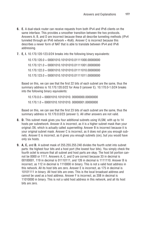- **6. E.** A dual-stack router can receive requests from both IPv4 and IPv6 clients on the same interface. This provides a smoother transition between the two protocols. Answers A, B, and D are incorrect because these all describe tunneling methods (IPv4 tunneled through an IPv6 network = 4to6). Answer C is incorrect because this describes a newer form of NAT that is able to translate between IPv4 and IPv6 addressing.
- **7. E, I.** 10.170.120-123.0/24 breaks into the following binary equivalents:

10.170.120.0 = 00001010.10101010.01111000.00000000 10.170.121.0 = 00001010.10101010.01111001.00000000 10.170.122.0 = 00001010.10101010.01111010.00000000 10.170.123.0 = 00001010.10101010.01111011.00000000

Based on this, we can see that the first 22 bits of each subnet are the same, thus the summary address is 10.170.120.0/22 for Area 0 (answer E). 10.170.0-1.0/24 breaks into the following binary equivalents:

10.170.0.0 = 00001010.10101010. 00000000.00000000 10.170.1.0 = 00001010.10101010. 00000001.00000000

Based on this, we can see that the first 23 bits of each subnet are the same, thus the summary address is 10.170.0.0/23 (answer I). All other answers are not valid.

- **8. D.** This subnet mask gives you four additional subnets using VLSM, with up to 14 hosts per subnetwork. Answer A is incorrect, as it is a higher subnet mask than your original /26, which is actually called *supernetting*. Answer B is incorrect because it is your original subnet mask. Answer C is incorrect, as it does not give you enough subnets. Answer E is incorrect, as it gives you enough subnets (six), but you would have only six hosts.
- **9. A, C,** and **D.** A subnet mask of 255.255.255.240 divides the fourth octet into subnet parts: the highest four bits and a host port (the lowest four bits). You simply check the fourth octet to ensure that all subnet and host parts are okay. The host bit portion cannot be 0000 or 1111. Answers A, C, and D are correct because 33 in decimal is 00100001, 119 in decimal is 01110111, and 126 in decimal is 1111110. Answer B is incorrect, as 112 in decimal is 1110000 in binary. This is not a valid host address in this network. All its host bits are zero. Answer E is incorrect, as 175 in decimal is 10101111 in binary. All host bits are ones. This is the local broadcast address and cannot be used as a host address. Answer F is incorrect, as 208 in decimal is 11010000 in binary. This is not a valid host address in this network, and all its host bits are zero.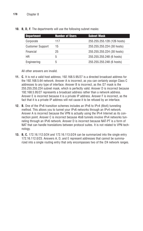| Department              | <b>Number of Users</b> | <b>Subnet Mask</b>          |
|-------------------------|------------------------|-----------------------------|
| Corporate               | 117                    | 255.255.255.128 (126 hosts) |
| <b>Customer Support</b> | 15                     | 255.255.255.224 (30 hosts)  |
| Financial               | 25                     | 255.255.255.224 (30 hosts)  |
| HR                      | 5                      | 255.255.255.248 (6 hosts)   |
| Engineering             | 5                      | 255.255.255.248 (6 hosts)   |

**10. B, D, F.** The departments will use the following subnet masks:

All other answers are invalid.

- **11. C.** It is not a valid host address; 192.168.5.95/27 is a directed broadcast address for the 192.168.5.64 network. Answer A is incorrect, as you can certainly assign Class C addresses to any type of interface. Answer B is incorrect, as the /27 mask is the 255.255.255.224 subnet mask, which is perfectly valid. Answer D is incorrect because 192.168.5.95/27 represents a broadcast address rather than a network address. Answer E is incorrect because it is a private IP address. Answer F is incorrect, as the fact that it is a private IP address will not cause it to be refused by an interface.
- **12. B.** One of the IPv6 transition schemes includes an IPv6 to IPv4 (6to4) tunneling method. This allows you to tunnel your IPv6 networks through an IPv4 network. Answer A is incorrect because the VPN is actually using the IPv4 Internet as its connection point. Answer C is incorrect because 4to6 tunnels involve IPv4 networks tunneling through an IPv6 network. Answer D is incorrect because NAT-PT is a form of NAT that can handle translations between protocol suites. It is not related to VPN technology.
- **13. B, C.** 172.16.112.0/24 and 172.16.113.0/24 can be summarized into the single entry 172.16.112.0/23. Answers A, D, and E represent addresses that cannot be summarized into a single routing entry that only encompasses two of the /24 network ranges.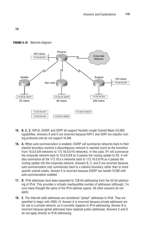**14.**



#### **FIGURE 8.10** Network diagram.

- **15. B, C, E.** RIPv2, EIGRP, and OSPF all support Variable Length Subnet Mask (VLSM) capabilities. Answers A and D are incorrect because RIPv1 and IGRP are classful routing protocols and do not support VLSM.
- **16. A.** When auto-summarization is enabled, EIGRP will summarize networks back to their classful boundary anytime a discontiguous network is reached (such as the transition from 10.0.0.0/8 networks to 172.16.0.0/16 networks). In this case, R1 will summarize the corporate network back to 10.0.0.0/8 as it passes the routing update to R2. It will also summarize all the 172.16.x.x networks back to 172.16.0.0/16 as it passes the routing update into the corporate network. Answers B, C, and D are incorrect because auto-summarization only summarizes back to a classful boundary rather than to more specific subnet masks. Answer E is incorrect because EIGRP can handle VLSM with auto-summarization enabled.
- **17. D.** IPv6 addresses have been expanded to 128-bit addressing from the 32-bit addressing of IPv4. This provides a virtually inexhaustible number of addresses (although, I'm sure many thought the same of the IPv4 address space). All other answers do not apply.
- **18. E.** The Internet-valid addresses are considered "global" addresses in IPv6. They are specified to begin with 2000::/3. Answer A is incorrect because private addresses are for use in a private network, as it currently happens in IPv4 addressing. Answer B is incorrect because global addresses have replaced public addresses. Answers C and D do not apply directly to IPv6 addressing.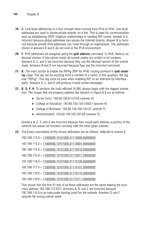- **19. C.** Link-local addressing is a new concept when moving from IPv4 to IPv6. Link-local addresses are used to communicate directly on a link. This is used for communication such as establishing OSPF neighbor relationships or sending RIP routes. Answer A is incorrect because global addresses can access the Internet directly. Answer B is incorrect because private IPv6 addresses can route through an organization. The addresses shown in answers D and E do not exist in the IPv6 environment.
- **20. F.** IPv6 addresses are assigned using the **ipv6 address** command. In IPv6, there is no decimal version of the subnet mask; all subnet masks are written in bit-notation. Answers A, C, and E are incorrect because they use the decimal version of the subnet mask. Answers B and D are incorrect because they use the incorrect command.
- **21. B.** The exact syntax to enable the RIPng (RIP for IPv6) routing protocol is **ipv6 router rip <**tag**>**. The tag can be anything from a number to a name; in this question, the tag was "RIPng". This tag must be used when enabling RIP on an interface-by-interface basis. Answers A, C, and D will produce invalid syntax messages.
- **22. B, D, F, H.** To perform the most efficient VLSM, always begin with the biggest subnet first. The ranges that will properly address the network in Figure 8.8 are as follows:
	- . Server Farm: 150.60.130.0-127/25 (answer H)
	- . College of Education: 150.60.130.128-159/27 (answer B)
	- . College of Business: 150.60.130.160-191/27 (answer F)
	- ▶ Administration: 150.60.130.192-207/28 (answer D)

Answers A, C, E, and G are incorrect because they would each address a portion of the network but would not function correctly with the other given subnets.

**23.** The binary equivalents of the shown addresses are as follows, reflected in answer E:

192.168.112.0 = 11000000.10101000.01110000.00000000

192.168.113.0 = 11000000.10101000.01110001.00000000

192.168.114.0 = 11000000.10101000.01110010.00000000

192.168.115.0 = 11000000.10101000.01110011.00000000

192.168.116.0 = 11000000.10101000.01110100.00000000

192.168.117.0 = 11000000.10101000.01110101.00000000

192.168.118.0 = 11000000.10101000.01110110.00000000

192.168.119.0 = 11000000.10101000.01110111.00000000

This shows that the first 21 bits of all these addresses are the same making the summary address 192.168.112.0/21. Answers A, B, and C are incorrect because 192.168.110.0 is an inaccurate starting point for the subnets. Answers D and F assume the wrong subnet mask.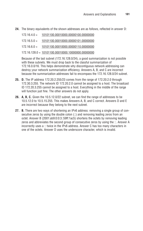**24.** The binary equivalents of the shown addresses are as follows, reflected in answer D:

| $172.16.4.0 =$ | 10101100.00010000.00000100.00000000 |
|----------------|-------------------------------------|
|----------------|-------------------------------------|

172.16.5.0 = 10101100.00010000.00000101.00000000

172.16.6.0 = 10101100.00010000.00000110.00000000

172.16.128.0 = 10101100.00010000.10000000.00000000

Because of the last subnet (172.16.128.0/24), a good summarization is not possible with these subnets. We must drop back to the classful summarization of 172.16.0.0/16. This helps demonstrate why discontiguous network addressing can destroy your network summarization efficiency. Answers A, B, and C are incorrect because the summarization addresses fail to encompass the 172.16.128.0/24 subnet.

- **25. D.** The IP address 172.20.2.255/23 comes from the range of 172.20.2.0 through 172.30.3.255. The network ID 172.20.2.0 cannot be assigned to a host. The broadcast ID 172.20.3.255 cannot be assigned to a host. Everything in the middle of the range will function just fine. The other answers do not apply.
- **26. A, B, C.** Given the 10.5.12.0/22 subnet, we can find the range of addresses to be 10.5.12.0 to 10.5.15.255. This makes Answers A, B, and C correct. Answers D and E are incorrect because they belong to the next subnet.
- **27. B.** There are two ways of shortening an IPv6 address: removing a single group of consecutive zeros by using the double colon (::) and removing leading zeros from an octet. Answer B (2001:ab9:0:0:3::59ff:1ac5) shortens the octets by removing leading zeros and abbreviates the second group of consecutive zeros by using the ::. Answer A incorrectly uses a :: twice in the IPv6 address. Answer C has too many characters in one of the octets. Answer D uses the underscore character, which is invalid.